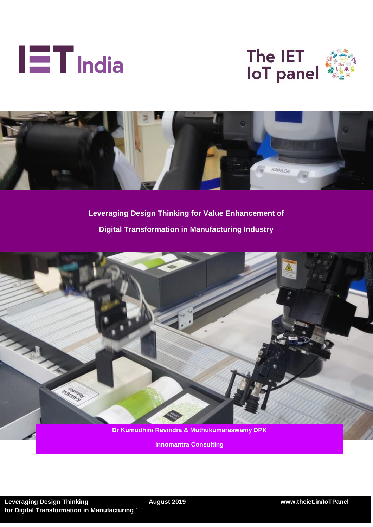





**Leveraging Design Thinking for Value Enhancement of Digital Transformation in Manufacturing Industry**



**Innomantra Consulting**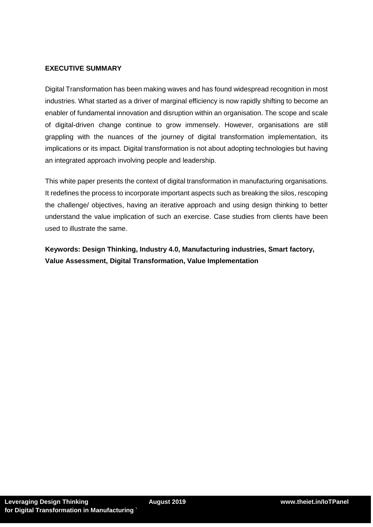### **EXECUTIVE SUMMARY**

Digital Transformation has been making waves and has found widespread recognition in most industries. What started as a driver of marginal efficiency is now rapidly shifting to become an enabler of fundamental innovation and disruption within an organisation. The scope and scale of digital-driven change continue to grow immensely. However, organisations are still grappling with the nuances of the journey of digital transformation implementation, its implications or its impact. Digital transformation is not about adopting technologies but having an integrated approach involving people and leadership.

This white paper presents the context of digital transformation in manufacturing organisations. It redefines the process to incorporate important aspects such as breaking the silos, rescoping the challenge/ objectives, having an iterative approach and using design thinking to better understand the value implication of such an exercise. Case studies from clients have been used to illustrate the same.

**Keywords: Design Thinking, Industry 4.0, Manufacturing industries, Smart factory, Value Assessment, Digital Transformation, Value Implementation**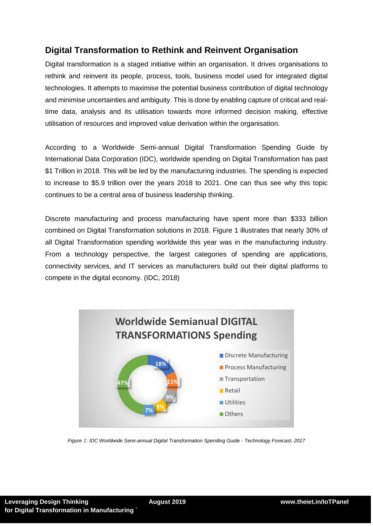# **Digital Transformation to Rethink and Reinvent Organisation**

Digital transformation is a staged initiative within an organisation. It drives organisations to rethink and reinvent its people, process, tools, business model used for integrated digital technologies. It attempts to maximise the potential business contribution of digital technology and minimise uncertainties and ambiguity. This is done by enabling capture of critical and realtime data, analysis and its utilisation towards more informed decision making, effective utilisation of resources and improved value derivation within the organisation.

According to a Worldwide Semi-annual Digital Transformation Spending Guide by International Data Corporation (IDC), worldwide spending on Digital Transformation has past \$1 Trillion in 2018. This will be led by the manufacturing industries. The spending is expected to increase to \$5.9 trillion over the years 2018 to 2021. One can thus see why this topic continues to be a central area of business leadership thinking.

Discrete manufacturing and process manufacturing have spent more than \$333 billion combined on Digital Transformation solutions in 2018. Figure 1 illustrates that nearly 30% of all Digital Transformation spending worldwide this year was in the manufacturing industry. From a technology perspective, the largest categories of spending are applications, connectivity services, and IT services as manufacturers build out their digital platforms to compete in the digital economy. (IDC, 2018)



*Figure 1: IDC Worldwide Semi-annual Digital Transformation Spending Guide - Technology Forecast, 2017*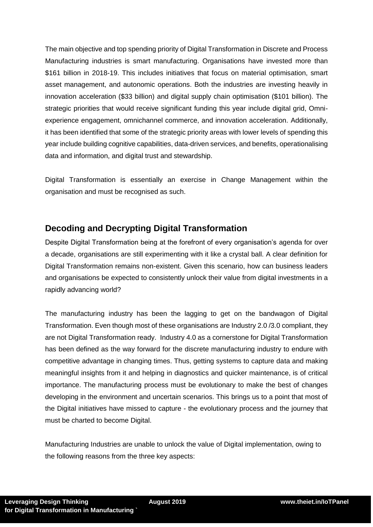The main objective and top spending priority of Digital Transformation in Discrete and Process Manufacturing industries is smart manufacturing. Organisations have invested more than \$161 billion in 2018-19. This includes initiatives that focus on material optimisation, smart asset management, and autonomic operations. Both the industries are investing heavily in innovation acceleration (\$33 billion) and digital supply chain optimisation (\$101 billion). The strategic priorities that would receive significant funding this year include digital grid, Omniexperience engagement, omnichannel commerce, and innovation acceleration. Additionally, it has been identified that some of the strategic priority areas with lower levels of spending this year include building cognitive capabilities, data-driven services, and benefits, operationalising data and information, and digital trust and stewardship.

Digital Transformation is essentially an exercise in Change Management within the organisation and must be recognised as such.

# **Decoding and Decrypting Digital Transformation**

Despite Digital Transformation being at the forefront of every organisation's agenda for over a decade, organisations are still experimenting with it like a crystal ball. A clear definition for Digital Transformation remains non-existent. Given this scenario, how can business leaders and organisations be expected to consistently unlock their value from digital investments in a rapidly advancing world?

The manufacturing industry has been the lagging to get on the bandwagon of Digital Transformation. Even though most of these organisations are Industry 2.0 /3.0 compliant, they are not Digital Transformation ready. Industry 4.0 as a cornerstone for Digital Transformation has been defined as the way forward for the discrete manufacturing industry to endure with competitive advantage in changing times. Thus, getting systems to capture data and making meaningful insights from it and helping in diagnostics and quicker maintenance, is of critical importance. The manufacturing process must be evolutionary to make the best of changes developing in the environment and uncertain scenarios. This brings us to a point that most of the Digital initiatives have missed to capture - the evolutionary process and the journey that must be charted to become Digital.

Manufacturing Industries are unable to unlock the value of Digital implementation, owing to the following reasons from the three key aspects: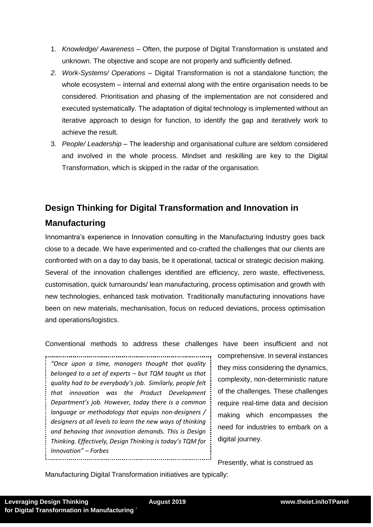- 1. *Knowledge/ Awareness*  Often, the purpose of Digital Transformation is unstated and unknown. The objective and scope are not properly and sufficiently defined.
- *2. Work-Systems/ Operations*  Digital Transformation is not a standalone function; the whole ecosystem – internal and external along with the entire organisation needs to be considered. Prioritisation and phasing of the implementation are not considered and executed systematically. The adaptation of digital technology is implemented without an iterative approach to design for function, to identify the gap and iteratively work to achieve the result.
- 3. *People/ Leadership*  The leadership and organisational culture are seldom considered and involved in the whole process. Mindset and reskilling are key to the Digital Transformation, which is skipped in the radar of the organisation.

# **Design Thinking for Digital Transformation and Innovation in Manufacturing**

Innomantra's experience in Innovation consulting in the Manufacturing Industry goes back close to a decade. We have experimented and co-crafted the challenges that our clients are confronted with on a day to day basis, be it operational, tactical or strategic decision making. Several of the innovation challenges identified are efficiency, zero waste, effectiveness, customisation, quick turnarounds/ lean manufacturing, process optimisation and growth with new technologies, enhanced task motivation. Traditionally manufacturing innovations have been on new materials, mechanisation, focus on reduced deviations, process optimisation and operations/logistics.

Conventional methods to address these challenges have been insufficient and not

*"Once upon a time, managers thought that quality belonged to a set of experts – but TQM taught us that quality had to be everybody's job. Similarly, people felt that innovation was the Product Development Department's job. However, today there is a common language or methodology that equips non-designers / designers at all levels to learn the new ways of thinking and behaving that innovation demands. This is Design Thinking. Effectively, Design Thinking is today's TQM for Innovation" – Forbes*

comprehensive. In several instances they miss considering the dynamics, complexity, non-deterministic nature of the challenges. These challenges require real-time data and decision making which encompasses the need for industries to embark on a digital journey.

Presently, what is construed as

Manufacturing Digital Transformation initiatives are typically: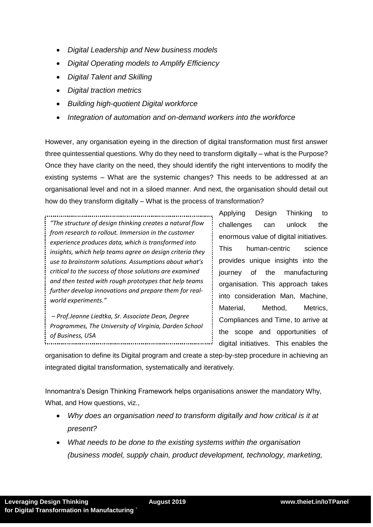- *Digital Leadership and New business models*
- *Digital Operating models to Amplify Efficiency*
- *Digital Talent and Skilling*
- *Digital traction metrics*
- *Building high-quotient Digital workforce*
- *Integration of automation and on-demand workers into the workforce*

However, any organisation eyeing in the direction of digital transformation must first answer three quintessential questions. Why do they need to transform digitally – what is the Purpose? Once they have clarity on the need, they should identify the right interventions to modify the existing systems – What are the systemic changes? This needs to be addressed at an organisational level and not in a siloed manner. And next, the organisation should detail out how do they transform digitally – What is the process of transformation?

*"The structure of design thinking creates a natural flow from research to rollout. Immersion in the customer experience produces data, which is transformed into insights, which help teams agree on design criteria they use to brainstorm solutions. Assumptions about what's critical to the success of those solutions are examined and then tested with rough prototypes that help teams further develop innovations and prepare them for realworld experiments."*

*– Prof.Jeanne Liedtka, Sr. Associate Dean, Degree Programmes, The University of Virginia, Darden School of Business, USA*

Applying Design Thinking to challenges can unlock the enormous value of digital initiatives. This human-centric science provides unique insights into the journey of the manufacturing organisation. This approach takes into consideration Man, Machine, Material, Method, Metrics, Compliances and Time, to arrive at the scope and opportunities of digital initiatives. This enables the

organisation to define its Digital program and create a step-by-step procedure in achieving an integrated digital transformation, systematically and iteratively.

Innomantra's Design Thinking Framework helps organisations answer the mandatory Why, What, and How questions, viz.,

- *Why does an organisation need to transform digitally and how critical is it at present?*
- *What needs to be done to the existing systems within the organisation (business model, supply chain, product development, technology, marketing,*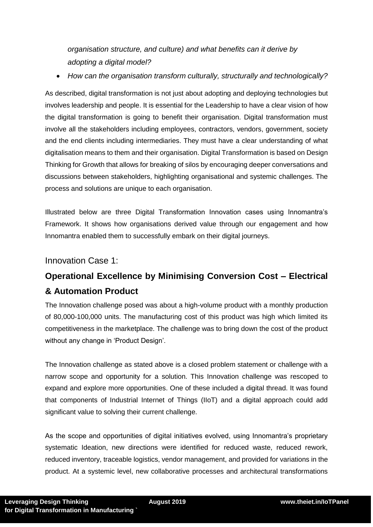*organisation structure, and culture) and what benefits can it derive by adopting a digital model?*

*How can the organisation transform culturally, structurally and technologically?*

As described, digital transformation is not just about adopting and deploying technologies but involves leadership and people. It is essential for the Leadership to have a clear vision of how the digital transformation is going to benefit their organisation. Digital transformation must involve all the stakeholders including employees, contractors, vendors, government, society and the end clients including intermediaries. They must have a clear understanding of what digitalisation means to them and their organisation. Digital Transformation is based on Design Thinking for Growth that allows for breaking of silos by encouraging deeper conversations and discussions between stakeholders, highlighting organisational and systemic challenges. The process and solutions are unique to each organisation.

Illustrated below are three Digital Transformation Innovation cases using Innomantra's Framework. It shows how organisations derived value through our engagement and how Innomantra enabled them to successfully embark on their digital journeys.

## Innovation Case 1:

# **Operational Excellence by Minimising Conversion Cost – Electrical & Automation Product**

The Innovation challenge posed was about a high-volume product with a monthly production of 80,000-100,000 units. The manufacturing cost of this product was high which limited its competitiveness in the marketplace. The challenge was to bring down the cost of the product without any change in 'Product Design'.

The Innovation challenge as stated above is a closed problem statement or challenge with a narrow scope and opportunity for a solution. This Innovation challenge was rescoped to expand and explore more opportunities. One of these included a digital thread. It was found that components of Industrial Internet of Things (IIoT) and a digital approach could add significant value to solving their current challenge.

As the scope and opportunities of digital initiatives evolved, using Innomantra's proprietary systematic Ideation, new directions were identified for reduced waste, reduced rework, reduced inventory, traceable logistics, vendor management, and provided for variations in the product. At a systemic level, new collaborative processes and architectural transformations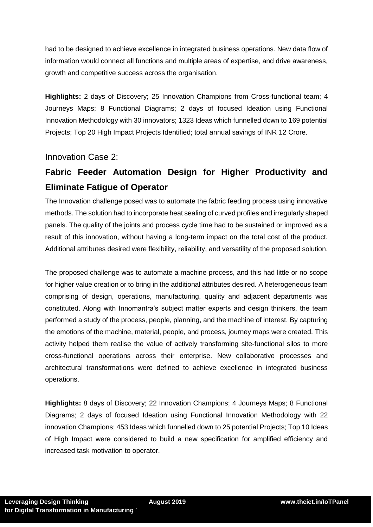had to be designed to achieve excellence in integrated business operations. New data flow of information would connect all functions and multiple areas of expertise, and drive awareness, growth and competitive success across the organisation.

**Highlights:** 2 days of Discovery; 25 Innovation Champions from Cross-functional team; 4 Journeys Maps; 8 Functional Diagrams; 2 days of focused Ideation using Functional Innovation Methodology with 30 innovators; 1323 Ideas which funnelled down to 169 potential Projects; Top 20 High Impact Projects Identified; total annual savings of INR 12 Crore.

Innovation Case 2:

# **Fabric Feeder Automation Design for Higher Productivity and Eliminate Fatigue of Operator**

The Innovation challenge posed was to automate the fabric feeding process using innovative methods. The solution had to incorporate heat sealing of curved profiles and irregularly shaped panels. The quality of the joints and process cycle time had to be sustained or improved as a result of this innovation, without having a long-term impact on the total cost of the product. Additional attributes desired were flexibility, reliability, and versatility of the proposed solution.

The proposed challenge was to automate a machine process, and this had little or no scope for higher value creation or to bring in the additional attributes desired. A heterogeneous team comprising of design, operations, manufacturing, quality and adjacent departments was constituted. Along with Innomantra's subject matter experts and design thinkers, the team performed a study of the process, people, planning, and the machine of interest. By capturing the emotions of the machine, material, people, and process, journey maps were created. This activity helped them realise the value of actively transforming site-functional silos to more cross-functional operations across their enterprise. New collaborative processes and architectural transformations were defined to achieve excellence in integrated business operations.

**Highlights:** 8 days of Discovery; 22 Innovation Champions; 4 Journeys Maps; 8 Functional Diagrams; 2 days of focused Ideation using Functional Innovation Methodology with 22 innovation Champions; 453 Ideas which funnelled down to 25 potential Projects; Top 10 Ideas of High Impact were considered to build a new specification for amplified efficiency and increased task motivation to operator.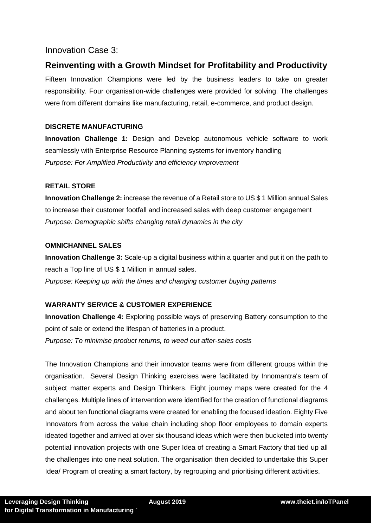## Innovation Case 3:

# **Reinventing with a Growth Mindset for Profitability and Productivity**

Fifteen Innovation Champions were led by the business leaders to take on greater responsibility. Four organisation-wide challenges were provided for solving. The challenges were from different domains like manufacturing, retail, e-commerce, and product design.

### **DISCRETE MANUFACTURING**

**Innovation Challenge 1:** Design and Develop autonomous vehicle software to work seamlessly with Enterprise Resource Planning systems for inventory handling *Purpose: For Amplified Productivity and efficiency improvement*

#### **RETAIL STORE**

**Innovation Challenge 2:** increase the revenue of a Retail store to US \$ 1 Million annual Sales to increase their customer footfall and increased sales with deep customer engagement *Purpose: Demographic shifts changing retail dynamics in the city*

#### **OMNICHANNEL SALES**

**Innovation Challenge 3:** Scale-up a digital business within a quarter and put it on the path to reach a Top line of US \$ 1 Million in annual sales. *Purpose: Keeping up with the times and changing customer buying patterns*

### **WARRANTY SERVICE & CUSTOMER EXPERIENCE**

**Innovation Challenge 4:** Exploring possible ways of preserving Battery consumption to the point of sale or extend the lifespan of batteries in a product. *Purpose: To minimise product returns, to weed out after-sales costs* 

The Innovation Champions and their innovator teams were from different groups within the organisation. Several Design Thinking exercises were facilitated by Innomantra's team of subject matter experts and Design Thinkers. Eight journey maps were created for the 4 challenges. Multiple lines of intervention were identified for the creation of functional diagrams and about ten functional diagrams were created for enabling the focused ideation. Eighty Five Innovators from across the value chain including shop floor employees to domain experts ideated together and arrived at over six thousand ideas which were then bucketed into twenty potential innovation projects with one Super Idea of creating a Smart Factory that tied up all the challenges into one neat solution. The organisation then decided to undertake this Super Idea/ Program of creating a smart factory, by regrouping and prioritising different activities.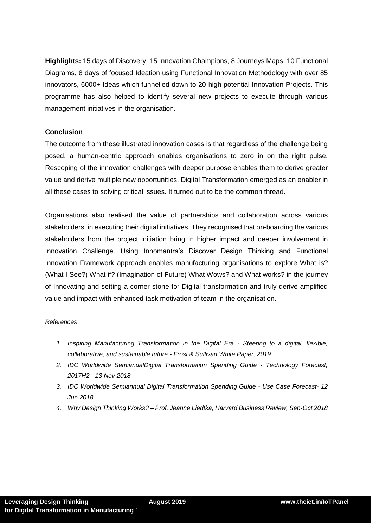**Highlights:** 15 days of Discovery, 15 Innovation Champions, 8 Journeys Maps, 10 Functional Diagrams, 8 days of focused Ideation using Functional Innovation Methodology with over 85 innovators, 6000+ Ideas which funnelled down to 20 high potential Innovation Projects. This programme has also helped to identify several new projects to execute through various management initiatives in the organisation.

#### **Conclusion**

The outcome from these illustrated innovation cases is that regardless of the challenge being posed, a human-centric approach enables organisations to zero in on the right pulse. Rescoping of the innovation challenges with deeper purpose enables them to derive greater value and derive multiple new opportunities. Digital Transformation emerged as an enabler in all these cases to solving critical issues. It turned out to be the common thread.

Organisations also realised the value of partnerships and collaboration across various stakeholders, in executing their digital initiatives. They recognised that on-boarding the various stakeholders from the project initiation bring in higher impact and deeper involvement in Innovation Challenge. Using Innomantra's Discover Design Thinking and Functional Innovation Framework approach enables manufacturing organisations to explore What is? (What I See?) What if? (Imagination of Future) What Wows? and What works? in the journey of Innovating and setting a corner stone for Digital transformation and truly derive amplified value and impact with enhanced task motivation of team in the organisation.

#### *References*

- *1. Inspiring Manufacturing Transformation in the Digital Era - Steering to a digital, flexible, collaborative, and sustainable future - Frost & Sullivan White Paper, 2019*
- *2. IDC Worldwide SemianualDigital Transformation Spending Guide - Technology Forecast, 2017H2 - 13 Nov 2018*
- *3. IDC Worldwide Semiannual Digital Transformation Spending Guide - Use Case Forecast- 12 Jun 2018*
- *4. Why Design Thinking Works? – Prof. Jeanne Liedtka, Harvard Business Review, Sep-Oct 2018*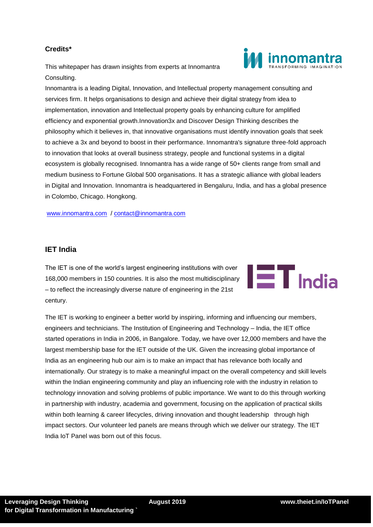## **Credits\***

This whitepaper has drawn insights from experts at Innomantra Consulting.

Innomantra is a leading Digital, Innovation, and Intellectual property management consulting and services firm. It helps organisations to design and achieve their digital strategy from idea to implementation, innovation and Intellectual property goals by enhancing culture for amplified efficiency and exponential growth.Innovation3x and Discover Design Thinking describes the philosophy which it believes in, that innovative organisations must identify innovation goals that seek to achieve a 3x and beyond to boost in their performance. Innomantra's signature three-fold approach to innovation that looks at overall business strategy, people and functional systems in a digital ecosystem is globally recognised. Innomantra has a wide range of 50+ clients range from small and medium business to Fortune Global 500 organisations. It has a strategic alliance with global leaders in Digital and Innovation. Innomantra is headquartered in Bengaluru, India, and has a global presence in Colombo, Chicago. Hongkong.

[www.innomantra.com](http://www.innomantra.com/) / [contact@innomantra.com](mailto:contact@innomantra.com)

#### **IET India**

The IET is one of the world's largest engineering institutions with over 168,000 members in 150 countries. It is also the most multidisciplinary – to reflect the increasingly diverse nature of engineering in the 21st century.

The IET is working to engineer a better world by inspiring, informing and influencing our members, engineers and technicians. The Institution of Engineering and Technology – India, the IET office started operations in India in 2006, in Bangalore. Today, we have over 12,000 members and have the largest membership base for the IET outside of the UK. Given the increasing global importance of India as an engineering hub our aim is to make an impact that has relevance both locally and internationally. Our strategy is to make a meaningful impact on the overall competency and skill levels within the Indian engineering community and play an influencing role with the industry in relation to technology innovation and solving problems of public importance. We want to do this through working in partnership with industry, academia and government, focusing on the application of practical skills within both learning & career lifecycles, driving innovation and thought leadership through high impact sectors. Our volunteer led panels are means through which we deliver our strategy. The IET India IoT Panel was born out of this focus.